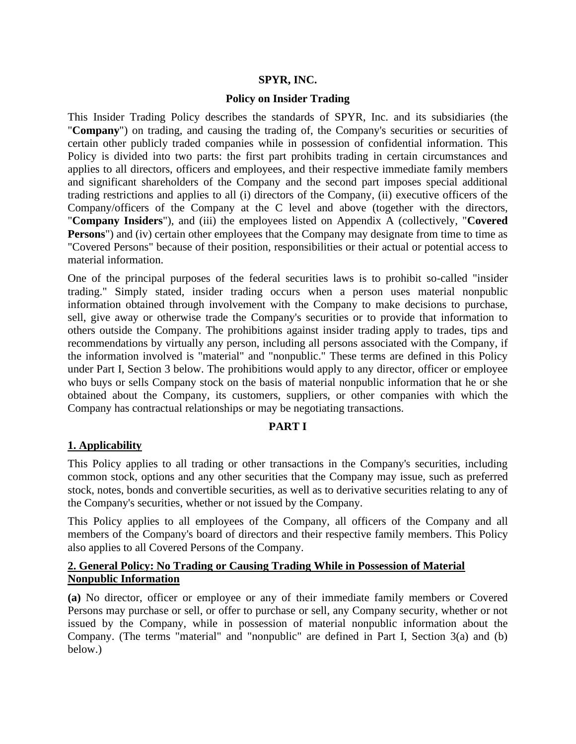#### **SPYR, INC.**

#### **Policy on Insider Trading**

This Insider Trading Policy describes the standards of SPYR, Inc. and its subsidiaries (the "**Company**") on trading, and causing the trading of, the Company's securities or securities of certain other publicly traded companies while in possession of confidential information. This Policy is divided into two parts: the first part prohibits trading in certain circumstances and applies to all directors, officers and employees, and their respective immediate family members and significant shareholders of the Company and the second part imposes special additional trading restrictions and applies to all (i) directors of the Company, (ii) executive officers of the Company/officers of the Company at the C level and above (together with the directors, "**Company Insiders**"), and (iii) the employees listed on Appendix A (collectively, "**Covered Persons**") and (iv) certain other employees that the Company may designate from time to time as "Covered Persons" because of their position, responsibilities or their actual or potential access to material information.

One of the principal purposes of the federal securities laws is to prohibit so-called "insider trading." Simply stated, insider trading occurs when a person uses material nonpublic information obtained through involvement with the Company to make decisions to purchase, sell, give away or otherwise trade the Company's securities or to provide that information to others outside the Company. The prohibitions against insider trading apply to trades, tips and recommendations by virtually any person, including all persons associated with the Company, if the information involved is "material" and "nonpublic." These terms are defined in this Policy under Part I, Section 3 below. The prohibitions would apply to any director, officer or employee who buys or sells Company stock on the basis of material nonpublic information that he or she obtained about the Company, its customers, suppliers, or other companies with which the Company has contractual relationships or may be negotiating transactions.

#### **PART I**

#### **1. Applicability**

This Policy applies to all trading or other transactions in the Company's securities, including common stock, options and any other securities that the Company may issue, such as preferred stock, notes, bonds and convertible securities, as well as to derivative securities relating to any of the Company's securities, whether or not issued by the Company.

This Policy applies to all employees of the Company, all officers of the Company and all members of the Company's board of directors and their respective family members. This Policy also applies to all Covered Persons of the Company.

#### **2. General Policy: No Trading or Causing Trading While in Possession of Material Nonpublic Information**

**(a)** No director, officer or employee or any of their immediate family members or Covered Persons may purchase or sell, or offer to purchase or sell, any Company security, whether or not issued by the Company, while in possession of material nonpublic information about the Company. (The terms "material" and "nonpublic" are defined in Part I, Section 3(a) and (b) below.)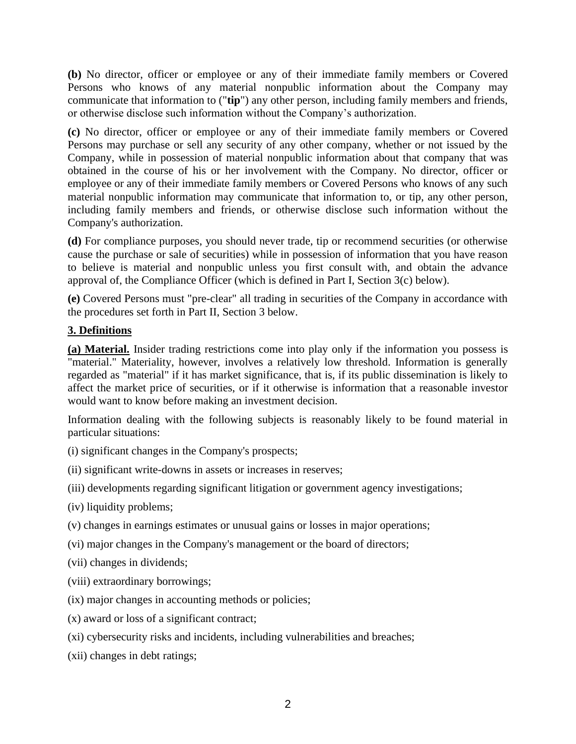**(b)** No director, officer or employee or any of their immediate family members or Covered Persons who knows of any material nonpublic information about the Company may communicate that information to ("**tip**") any other person, including family members and friends, or otherwise disclose such information without the Company's authorization.

**(c)** No director, officer or employee or any of their immediate family members or Covered Persons may purchase or sell any security of any other company, whether or not issued by the Company, while in possession of material nonpublic information about that company that was obtained in the course of his or her involvement with the Company. No director, officer or employee or any of their immediate family members or Covered Persons who knows of any such material nonpublic information may communicate that information to, or tip, any other person, including family members and friends, or otherwise disclose such information without the Company's authorization.

**(d)** For compliance purposes, you should never trade, tip or recommend securities (or otherwise cause the purchase or sale of securities) while in possession of information that you have reason to believe is material and nonpublic unless you first consult with, and obtain the advance approval of, the Compliance Officer (which is defined in Part I, Section 3(c) below).

**(e)** Covered Persons must "pre-clear" all trading in securities of the Company in accordance with the procedures set forth in Part II, Section 3 below.

### **3. Definitions**

**(a) Material.** Insider trading restrictions come into play only if the information you possess is "material." Materiality, however, involves a relatively low threshold. Information is generally regarded as "material" if it has market significance, that is, if its public dissemination is likely to affect the market price of securities, or if it otherwise is information that a reasonable investor would want to know before making an investment decision.

Information dealing with the following subjects is reasonably likely to be found material in particular situations:

- (i) significant changes in the Company's prospects;
- (ii) significant write-downs in assets or increases in reserves;
- (iii) developments regarding significant litigation or government agency investigations;
- (iv) liquidity problems;
- (v) changes in earnings estimates or unusual gains or losses in major operations;
- (vi) major changes in the Company's management or the board of directors;
- (vii) changes in dividends;
- (viii) extraordinary borrowings;
- (ix) major changes in accounting methods or policies;
- (x) award or loss of a significant contract;
- (xi) cybersecurity risks and incidents, including vulnerabilities and breaches;
- (xii) changes in debt ratings;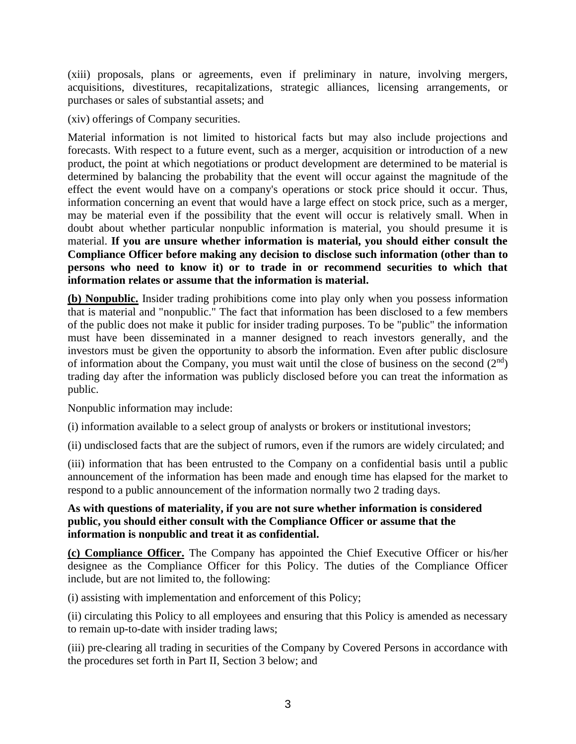(xiii) proposals, plans or agreements, even if preliminary in nature, involving mergers, acquisitions, divestitures, recapitalizations, strategic alliances, licensing arrangements, or purchases or sales of substantial assets; and

(xiv) offerings of Company securities.

Material information is not limited to historical facts but may also include projections and forecasts. With respect to a future event, such as a merger, acquisition or introduction of a new product, the point at which negotiations or product development are determined to be material is determined by balancing the probability that the event will occur against the magnitude of the effect the event would have on a company's operations or stock price should it occur. Thus, information concerning an event that would have a large effect on stock price, such as a merger, may be material even if the possibility that the event will occur is relatively small. When in doubt about whether particular nonpublic information is material, you should presume it is material. **If you are unsure whether information is material, you should either consult the Compliance Officer before making any decision to disclose such information (other than to persons who need to know it) or to trade in or recommend securities to which that information relates or assume that the information is material.**

**(b) Nonpublic.** Insider trading prohibitions come into play only when you possess information that is material and "nonpublic." The fact that information has been disclosed to a few members of the public does not make it public for insider trading purposes. To be "public" the information must have been disseminated in a manner designed to reach investors generally, and the investors must be given the opportunity to absorb the information. Even after public disclosure of information about the Company, you must wait until the close of business on the second  $(2<sup>nd</sup>)$ trading day after the information was publicly disclosed before you can treat the information as public.

Nonpublic information may include:

(i) information available to a select group of analysts or brokers or institutional investors;

(ii) undisclosed facts that are the subject of rumors, even if the rumors are widely circulated; and

(iii) information that has been entrusted to the Company on a confidential basis until a public announcement of the information has been made and enough time has elapsed for the market to respond to a public announcement of the information normally two 2 trading days.

### **As with questions of materiality, if you are not sure whether information is considered public, you should either consult with the Compliance Officer or assume that the information is nonpublic and treat it as confidential.**

**(c) Compliance Officer.** The Company has appointed the Chief Executive Officer or his/her designee as the Compliance Officer for this Policy. The duties of the Compliance Officer include, but are not limited to, the following:

(i) assisting with implementation and enforcement of this Policy;

(ii) circulating this Policy to all employees and ensuring that this Policy is amended as necessary to remain up-to-date with insider trading laws;

(iii) pre-clearing all trading in securities of the Company by Covered Persons in accordance with the procedures set forth in Part II, Section 3 below; and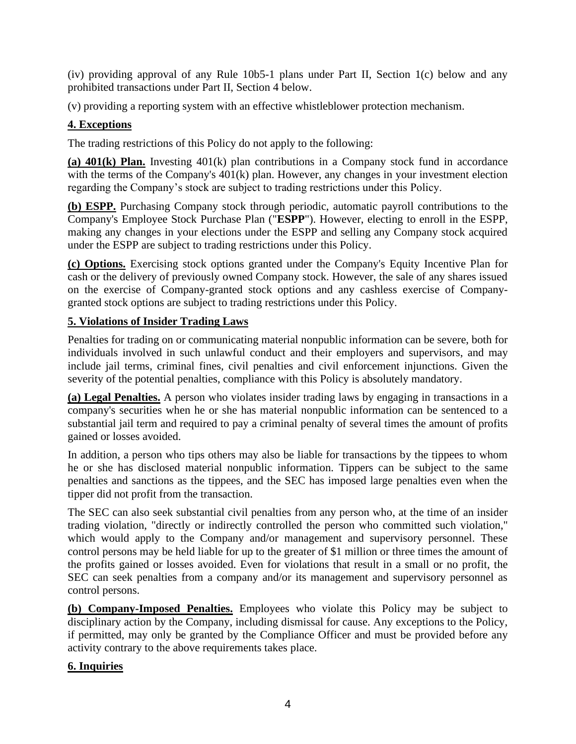(iv) providing approval of any Rule 10b5-1 plans under Part II, Section 1(c) below and any prohibited transactions under Part II, Section 4 below.

(v) providing a reporting system with an effective whistleblower protection mechanism.

# **4. Exceptions**

The trading restrictions of this Policy do not apply to the following:

**(a) 401(k) Plan.** Investing 401(k) plan contributions in a Company stock fund in accordance with the terms of the Company's 401(k) plan. However, any changes in your investment election regarding the Company's stock are subject to trading restrictions under this Policy.

**(b) ESPP.** Purchasing Company stock through periodic, automatic payroll contributions to the Company's Employee Stock Purchase Plan ("**ESPP**"). However, electing to enroll in the ESPP, making any changes in your elections under the ESPP and selling any Company stock acquired under the ESPP are subject to trading restrictions under this Policy.

**(c) Options.** Exercising stock options granted under the Company's Equity Incentive Plan for cash or the delivery of previously owned Company stock. However, the sale of any shares issued on the exercise of Company-granted stock options and any cashless exercise of Companygranted stock options are subject to trading restrictions under this Policy.

# **5. Violations of Insider Trading Laws**

Penalties for trading on or communicating material nonpublic information can be severe, both for individuals involved in such unlawful conduct and their employers and supervisors, and may include jail terms, criminal fines, civil penalties and civil enforcement injunctions. Given the severity of the potential penalties, compliance with this Policy is absolutely mandatory.

**(a) Legal Penalties.** A person who violates insider trading laws by engaging in transactions in a company's securities when he or she has material nonpublic information can be sentenced to a substantial jail term and required to pay a criminal penalty of several times the amount of profits gained or losses avoided.

In addition, a person who tips others may also be liable for transactions by the tippees to whom he or she has disclosed material nonpublic information. Tippers can be subject to the same penalties and sanctions as the tippees, and the SEC has imposed large penalties even when the tipper did not profit from the transaction.

The SEC can also seek substantial civil penalties from any person who, at the time of an insider trading violation, "directly or indirectly controlled the person who committed such violation," which would apply to the Company and/or management and supervisory personnel. These control persons may be held liable for up to the greater of \$1 million or three times the amount of the profits gained or losses avoided. Even for violations that result in a small or no profit, the SEC can seek penalties from a company and/or its management and supervisory personnel as control persons.

**(b) Company-Imposed Penalties.** Employees who violate this Policy may be subject to disciplinary action by the Company, including dismissal for cause. Any exceptions to the Policy, if permitted, may only be granted by the Compliance Officer and must be provided before any activity contrary to the above requirements takes place.

# **6. Inquiries**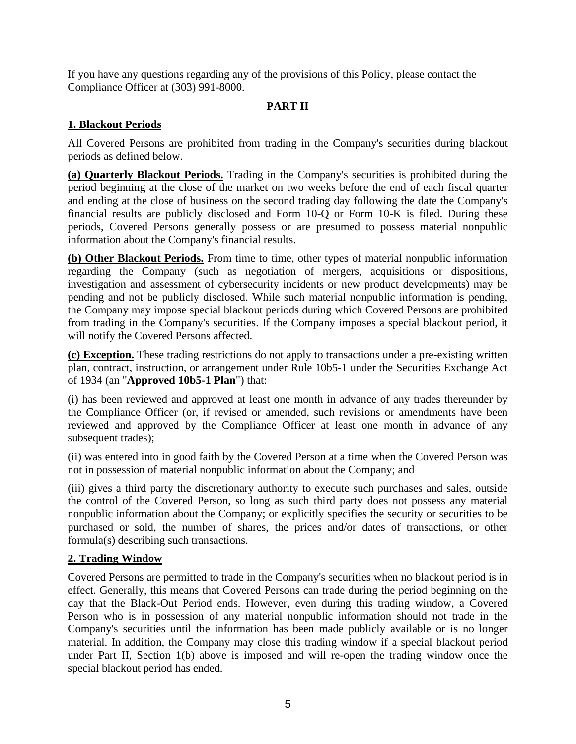If you have any questions regarding any of the provisions of this Policy, please contact the Compliance Officer at (303) 991-8000.

## **PART II**

### **1. Blackout Periods**

All Covered Persons are prohibited from trading in the Company's securities during blackout periods as defined below.

**(a) Quarterly Blackout Periods.** Trading in the Company's securities is prohibited during the period beginning at the close of the market on two weeks before the end of each fiscal quarter and ending at the close of business on the second trading day following the date the Company's financial results are publicly disclosed and Form 10-Q or Form 10-K is filed. During these periods, Covered Persons generally possess or are presumed to possess material nonpublic information about the Company's financial results.

**(b) Other Blackout Periods.** From time to time, other types of material nonpublic information regarding the Company (such as negotiation of mergers, acquisitions or dispositions, investigation and assessment of cybersecurity incidents or new product developments) may be pending and not be publicly disclosed. While such material nonpublic information is pending, the Company may impose special blackout periods during which Covered Persons are prohibited from trading in the Company's securities. If the Company imposes a special blackout period, it will notify the Covered Persons affected.

**(c) Exception.** These trading restrictions do not apply to transactions under a pre-existing written plan, contract, instruction, or arrangement under Rule 10b5-1 under the Securities Exchange Act of 1934 (an "**Approved 10b5-1 Plan**") that:

(i) has been reviewed and approved at least one month in advance of any trades thereunder by the Compliance Officer (or, if revised or amended, such revisions or amendments have been reviewed and approved by the Compliance Officer at least one month in advance of any subsequent trades);

(ii) was entered into in good faith by the Covered Person at a time when the Covered Person was not in possession of material nonpublic information about the Company; and

(iii) gives a third party the discretionary authority to execute such purchases and sales, outside the control of the Covered Person, so long as such third party does not possess any material nonpublic information about the Company; or explicitly specifies the security or securities to be purchased or sold, the number of shares, the prices and/or dates of transactions, or other formula(s) describing such transactions.

### **2. Trading Window**

Covered Persons are permitted to trade in the Company's securities when no blackout period is in effect. Generally, this means that Covered Persons can trade during the period beginning on the day that the Black-Out Period ends. However, even during this trading window, a Covered Person who is in possession of any material nonpublic information should not trade in the Company's securities until the information has been made publicly available or is no longer material. In addition, the Company may close this trading window if a special blackout period under Part II, Section 1(b) above is imposed and will re-open the trading window once the special blackout period has ended.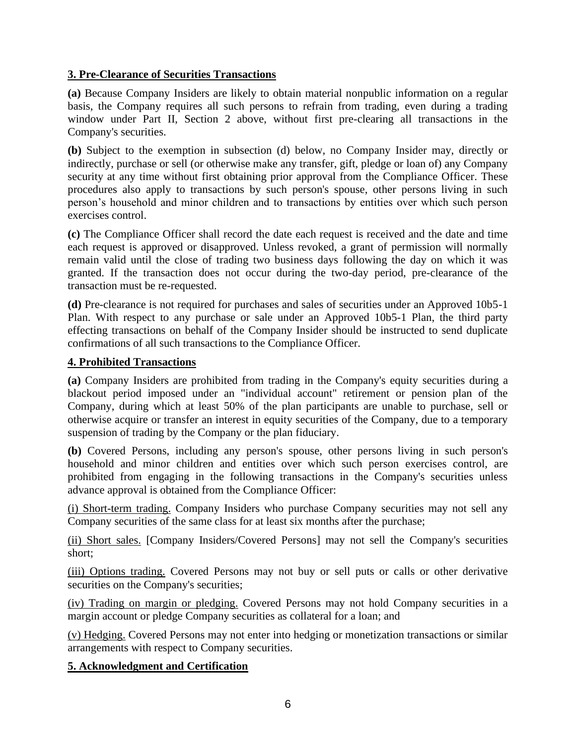### **3. Pre-Clearance of Securities Transactions**

**(a)** Because Company Insiders are likely to obtain material nonpublic information on a regular basis, the Company requires all such persons to refrain from trading, even during a trading window under Part II, Section 2 above, without first pre-clearing all transactions in the Company's securities.

**(b)** Subject to the exemption in subsection (d) below, no Company Insider may, directly or indirectly, purchase or sell (or otherwise make any transfer, gift, pledge or loan of) any Company security at any time without first obtaining prior approval from the Compliance Officer. These procedures also apply to transactions by such person's spouse, other persons living in such person's household and minor children and to transactions by entities over which such person exercises control.

**(c)** The Compliance Officer shall record the date each request is received and the date and time each request is approved or disapproved. Unless revoked, a grant of permission will normally remain valid until the close of trading two business days following the day on which it was granted. If the transaction does not occur during the two-day period, pre-clearance of the transaction must be re-requested.

**(d)** Pre-clearance is not required for purchases and sales of securities under an Approved 10b5-1 Plan. With respect to any purchase or sale under an Approved 10b5-1 Plan, the third party effecting transactions on behalf of the Company Insider should be instructed to send duplicate confirmations of all such transactions to the Compliance Officer.

### **4. Prohibited Transactions**

**(a)** Company Insiders are prohibited from trading in the Company's equity securities during a blackout period imposed under an "individual account" retirement or pension plan of the Company, during which at least 50% of the plan participants are unable to purchase, sell or otherwise acquire or transfer an interest in equity securities of the Company, due to a temporary suspension of trading by the Company or the plan fiduciary.

**(b)** Covered Persons, including any person's spouse, other persons living in such person's household and minor children and entities over which such person exercises control, are prohibited from engaging in the following transactions in the Company's securities unless advance approval is obtained from the Compliance Officer:

(i) Short-term trading. Company Insiders who purchase Company securities may not sell any Company securities of the same class for at least six months after the purchase;

(ii) Short sales. [Company Insiders/Covered Persons] may not sell the Company's securities short;

(iii) Options trading. Covered Persons may not buy or sell puts or calls or other derivative securities on the Company's securities;

(iv) Trading on margin or pledging. Covered Persons may not hold Company securities in a margin account or pledge Company securities as collateral for a loan; and

(v) Hedging. Covered Persons may not enter into hedging or monetization transactions or similar arrangements with respect to Company securities.

### **5. Acknowledgment and Certification**